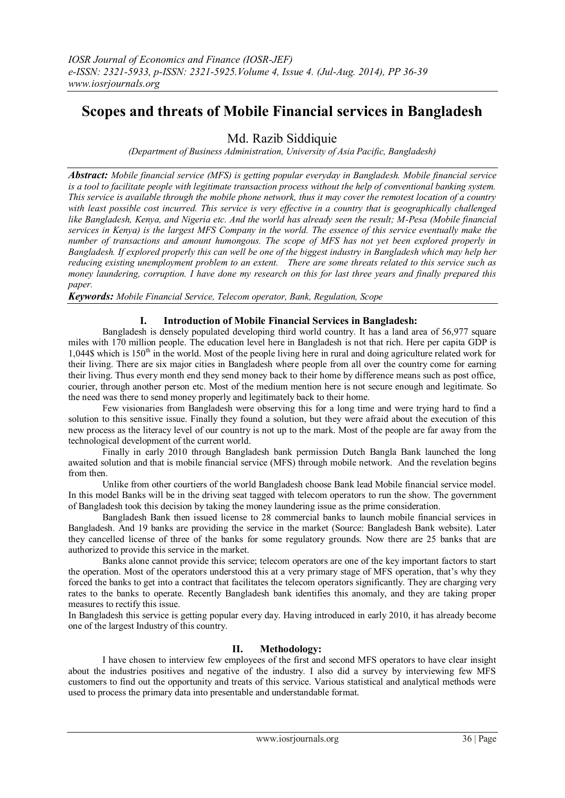# **Scopes and threats of Mobile Financial services in Bangladesh**

Md. Razib Siddiquie

*(Department of Business Administration, University of Asia Pacific, Bangladesh)*

*Abstract: Mobile financial service (MFS) is getting popular everyday in Bangladesh. Mobile financial service*  is a tool to facilitate people with legitimate transaction process without the help of conventional banking system. *This service is available through the mobile phone network, thus it may cover the remotest location of a country*  with least possible cost incurred. This service is very effective in a country that is geographically challenged *like Bangladesh, Kenya, and Nigeria etc. And the world has already seen the result; M-Pesa (Mobile financial services in Kenya) is the largest MFS Company in the world. The essence of this service eventually make the number of transactions and amount humongous. The scope of MFS has not yet been explored properly in Bangladesh. If explored properly this can well be one of the biggest industry in Bangladesh which may help her reducing existing unemployment problem to an extent. There are some threats related to this service such as money laundering, corruption. I have done my research on this for last three years and finally prepared this paper.*

*Keywords: Mobile Financial Service, Telecom operator, Bank, Regulation, Scope*

## **I. Introduction of Mobile Financial Services in Bangladesh:**

Bangladesh is densely populated developing third world country. It has a land area of 56,977 square miles with 170 million people. The education level here in Bangladesh is not that rich. Here per capita GDP is 1,044\$ which is 150<sup>th</sup> in the world. Most of the people living here in rural and doing agriculture related work for their living. There are six major cities in Bangladesh where people from all over the country come for earning their living. Thus every month end they send money back to their home by difference means such as post office, courier, through another person etc. Most of the medium mention here is not secure enough and legitimate. So the need was there to send money properly and legitimately back to their home.

Few visionaries from Bangladesh were observing this for a long time and were trying hard to find a solution to this sensitive issue. Finally they found a solution, but they were afraid about the execution of this new process as the literacy level of our country is not up to the mark. Most of the people are far away from the technological development of the current world.

Finally in early 2010 through Bangladesh bank permission Dutch Bangla Bank launched the long awaited solution and that is mobile financial service (MFS) through mobile network. And the revelation begins from then.

Unlike from other courtiers of the world Bangladesh choose Bank lead Mobile financial service model. In this model Banks will be in the driving seat tagged with telecom operators to run the show. The government of Bangladesh took this decision by taking the money laundering issue as the prime consideration.

Bangladesh Bank then issued license to 28 commercial banks to launch mobile financial services in Bangladesh. And 19 banks are providing the service in the market (Source: Bangladesh Bank website). Later they cancelled license of three of the banks for some regulatory grounds. Now there are 25 banks that are authorized to provide this service in the market.

Banks alone cannot provide this service; telecom operators are one of the key important factors to start the operation. Most of the operators understood this at a very primary stage of MFS operation, that's why they forced the banks to get into a contract that facilitates the telecom operators significantly. They are charging very rates to the banks to operate. Recently Bangladesh bank identifies this anomaly, and they are taking proper measures to rectify this issue.

In Bangladesh this service is getting popular every day. Having introduced in early 2010, it has already become one of the largest Industry of this country.

## **II. Methodology:**

I have chosen to interview few employees of the first and second MFS operators to have clear insight about the industries positives and negative of the industry. I also did a survey by interviewing few MFS customers to find out the opportunity and treats of this service. Various statistical and analytical methods were used to process the primary data into presentable and understandable format.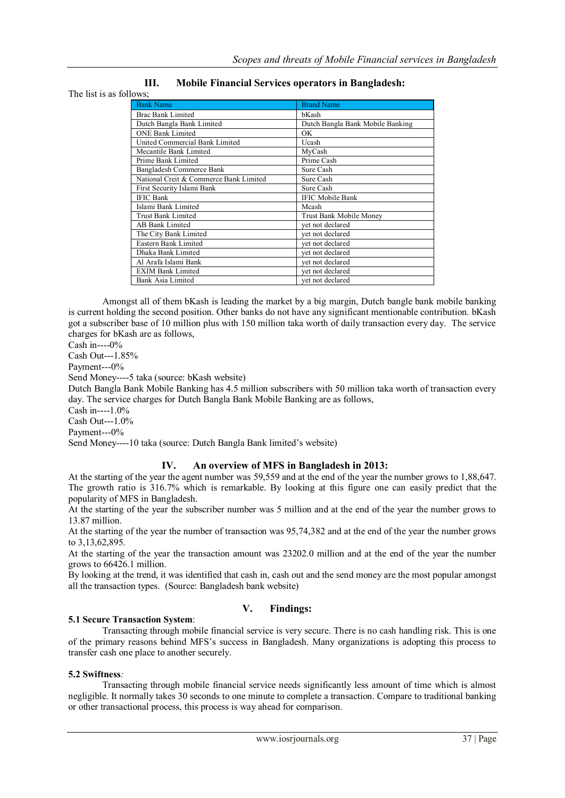|                         | <b>Mobile Financial Services operators in Bangladesh:</b> |
|-------------------------|-----------------------------------------------------------|
| The list is as follows; |                                                           |

| lows;                                  |                                  |  |
|----------------------------------------|----------------------------------|--|
| <b>Bank Name</b>                       | <b>Brand Name</b>                |  |
| <b>Brac Bank Limited</b>               | bKash                            |  |
| Dutch Bangla Bank Limited              | Dutch Bangla Bank Mobile Banking |  |
| <b>ONE Bank Limited</b>                | OK                               |  |
| United Commercial Bank Limited         | Ucash                            |  |
| Mecantile Bank Limited                 | MyCash                           |  |
| Prime Bank Limited                     | Prime Cash                       |  |
| Bangladesh Commerce Bank               | Sure Cash                        |  |
| National Creit & Commerce Bank Limited | Sure Cash                        |  |
| First Security Islami Bank             | Sure Cash                        |  |
| <b>IFIC Bank</b>                       | <b>IFIC Mobile Bank</b>          |  |
| Islami Bank Limited                    | Mcash                            |  |
| <b>Trust Bank Limited</b>              | Trust Bank Mobile Money          |  |
| <b>AB Bank Limited</b>                 | yet not declared                 |  |
| The City Bank Limited                  | vet not declared                 |  |
| Eastern Bank Limited                   | vet not declared                 |  |
| Dhaka Bank Limited                     | vet not declared                 |  |
| Al Arafa Islami Bank                   | vet not declared                 |  |
| <b>EXIM Bank Limited</b>               | vet not declared                 |  |
| Bank Asia Limited                      | vet not declared                 |  |

Amongst all of them bKash is leading the market by a big margin, Dutch bangle bank mobile banking is current holding the second position. Other banks do not have any significant mentionable contribution. bKash got a subscriber base of 10 million plus with 150 million taka worth of daily transaction every day. The service charges for bKash are as follows,

Cash in----0%

Cash Out---1.85%

Payment---0%

Send Money----5 taka (source: bKash website)

Dutch Bangla Bank Mobile Banking has 4.5 million subscribers with 50 million taka worth of transaction every day. The service charges for Dutch Bangla Bank Mobile Banking are as follows,

Cash in----1.0%

Cash Out---1.0%

Payment---0%

Send Money----10 taka (source: Dutch Bangla Bank limited's website)

## **IV. An overview of MFS in Bangladesh in 2013:**

At the starting of the year the agent number was 59,559 and at the end of the year the number grows to 1,88,647. The growth ratio is 316.7% which is remarkable. By looking at this figure one can easily predict that the popularity of MFS in Bangladesh.

At the starting of the year the subscriber number was 5 million and at the end of the year the number grows to 13.87 million.

At the starting of the year the number of transaction was 95,74,382 and at the end of the year the number grows to 3,13,62,895.

At the starting of the year the transaction amount was 23202.0 million and at the end of the year the number grows to 66426.1 million.

By looking at the trend, it was identified that cash in, cash out and the send money are the most popular amongst all the transaction types. (Source: Bangladesh bank website)

## **V. Findings:**

## **5.1 Secure Transaction System**:

Transacting through mobile financial service is very secure. There is no cash handling risk. This is one of the primary reasons behind MFS's success in Bangladesh. Many organizations is adopting this process to transfer cash one place to another securely.

### **5.2 Swiftness***:*

Transacting through mobile financial service needs significantly less amount of time which is almost negligible. It normally takes 30 seconds to one minute to complete a transaction. Compare to traditional banking or other transactional process, this process is way ahead for comparison.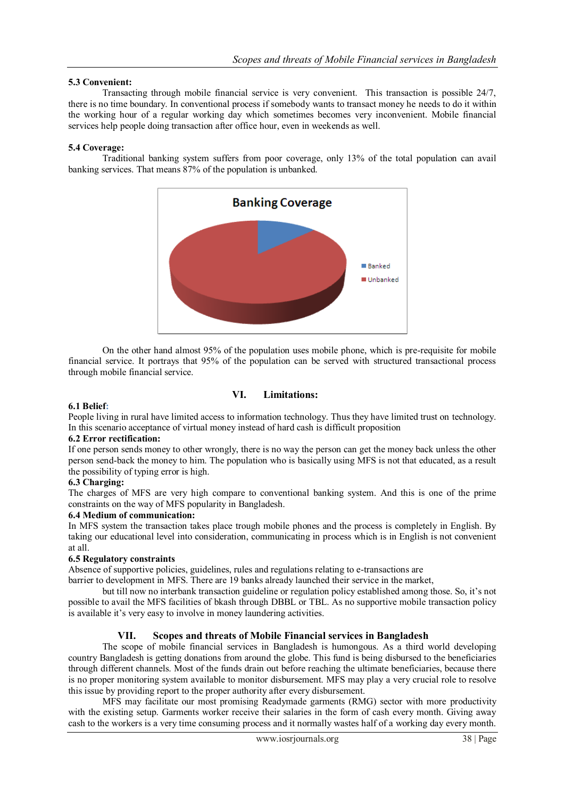## **5.3 Convenient:**

Transacting through mobile financial service is very convenient. This transaction is possible 24/7, there is no time boundary. In conventional process if somebody wants to transact money he needs to do it within the working hour of a regular working day which sometimes becomes very inconvenient. Mobile financial services help people doing transaction after office hour, even in weekends as well.

### **5.4 Coverage:**

Traditional banking system suffers from poor coverage, only 13% of the total population can avail banking services. That means 87% of the population is unbanked.



On the other hand almost 95% of the population uses mobile phone, which is pre-requisite for mobile financial service. It portrays that 95% of the population can be served with structured transactional process through mobile financial service.

## **VI. Limitations:**

#### **6.1 Belief:**

People living in rural have limited access to information technology. Thus they have limited trust on technology. In this scenario acceptance of virtual money instead of hard cash is difficult proposition

#### **6.2 Error rectification:**

If one person sends money to other wrongly, there is no way the person can get the money back unless the other person send-back the money to him. The population who is basically using MFS is not that educated, as a result the possibility of typing error is high.

#### **6.3 Charging:**

The charges of MFS are very high compare to conventional banking system. And this is one of the prime constraints on the way of MFS popularity in Bangladesh.

#### **6.4 Medium of communication:**

In MFS system the transaction takes place trough mobile phones and the process is completely in English. By taking our educational level into consideration, communicating in process which is in English is not convenient at all.

#### **6.5 Regulatory constraints**

Absence of supportive policies, guidelines, rules and regulations relating to e-transactions are

barrier to development in MFS. There are 19 banks already launched their service in the market,

but till now no interbank transaction guideline or regulation policy established among those. So, it's not possible to avail the MFS facilities of bkash through DBBL or TBL. As no supportive mobile transaction policy is available it's very easy to involve in money laundering activities.

## **VII. Scopes and threats of Mobile Financial services in Bangladesh**

The scope of mobile financial services in Bangladesh is humongous. As a third world developing country Bangladesh is getting donations from around the globe. This fund is being disbursed to the beneficiaries through different channels. Most of the funds drain out before reaching the ultimate beneficiaries, because there is no proper monitoring system available to monitor disbursement. MFS may play a very crucial role to resolve this issue by providing report to the proper authority after every disbursement.

MFS may facilitate our most promising Readymade garments (RMG) sector with more productivity with the existing setup. Garments worker receive their salaries in the form of cash every month. Giving away cash to the workers is a very time consuming process and it normally wastes half of a working day every month.